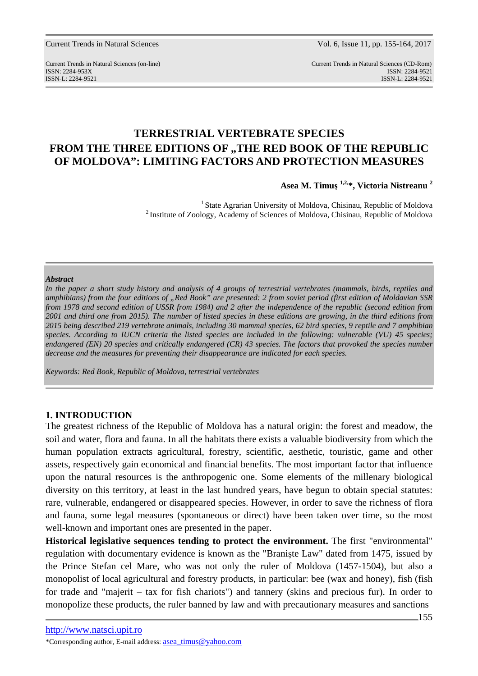Current Trends in Natural Sciences (on-line) Current Trends in Natural Sciences (CD-Rom) ISSN: 2284-953XISSN: 2284-9521 ISSN-L: 2284-9521 ISSN-L: 2284-9521

# **TERRESTRIAL VERTEBRATE SPECIES**  FROM THE THREE EDITIONS OF "THE RED BOOK OF THE REPUBLIC **OF MOLDOVA": LIMITING FACTORS AND PROTECTION MEASURES**

**Asea M. Timuş 1,2,\*, Victoria Nistreanu <sup>2</sup>**

<sup>1</sup> State Agrarian University of Moldova, Chisinau, Republic of Moldova <sup>2</sup> Institute of Zoology, Academy of Sciences of Moldova, Chisinau, Republic of Moldova

## *Abstract*

*In the paper a short study history and analysis of 4 groups of terrestrial vertebrates (mammals, birds, reptiles and amphibians) from the four editions of "Red Book" are presented: 2 from soviet period (first edition of Moldavian SSR from 1978 and second edition of USSR from 1984) and 2 after the independence of the republic (second edition from 2001 and third one from 2015). The number of listed species in these editions are growing, in the third editions from 2015 being described 219 vertebrate animals, including 30 mammal species, 62 bird species, 9 reptile and 7 amphibian species. According to IUCN criteria the listed species are included in the following: vulnerable (VU) 45 species; endangered (EN) 20 species and critically endangered (CR) 43 species. The factors that provoked the species number decrease and the measures for preventing their disappearance are indicated for each species.* 

*Keywords: Red Book, Republic of Moldova, terrestrial vertebrates* 

## **1. INTRODUCTION**

The greatest richness of the Republic of Moldova has a natural origin: the forest and meadow, the soil and water, flora and fauna. In all the habitats there exists a valuable biodiversity from which the human population extracts agricultural, forestry, scientific, aesthetic, touristic, game and other assets, respectively gain economical and financial benefits. The most important factor that influence upon the natural resources is the anthropogenic one. Some elements of the millenary biological diversity on this territory, at least in the last hundred years, have begun to obtain special statutes: rare, vulnerable, endangered or disappeared species. However, in order to save the richness of flora and fauna, some legal measures (spontaneous or direct) have been taken over time, so the most well-known and important ones are presented in the paper.

**Historical legislative sequences tending to protect the environment.** The first "environmental" regulation with documentary evidence is known as the "Branişte Law" dated from 1475, issued by the Prince Stefan cel Mare, who was not only the ruler of Moldova (1457-1504), but also a monopolist of local agricultural and forestry products, in particular: bee (wax and honey), fish (fish for trade and "majerit – tax for fish chariots") and tannery (skins and precious fur). In order to monopolize these products, the ruler banned by law and with precautionary measures and sanctions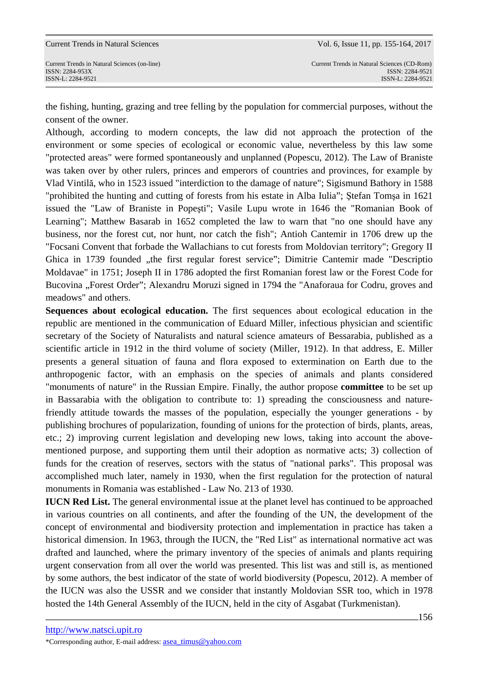the fishing, hunting, grazing and tree felling by the population for commercial purposes, without the consent of the owner.

Although, according to modern concepts, the law did not approach the protection of the environment or some species of ecological or economic value, nevertheless by this law some "protected areas" were formed spontaneously and unplanned (Popescu, 2012). The Law of Braniste was taken over by other rulers, princes and emperors of countries and provinces, for example by Vlad Vintilă, who in 1523 issued "interdiction to the damage of nature"; Sigismund Bathory in 1588 "prohibited the hunting and cutting of forests from his estate in Alba Iulia"; Ştefan Tomşa in 1621 issued the "Law of Braniste in Popeşti"; Vasile Lupu wrote in 1646 the "Romanian Book of Learning"; Matthew Basarab in 1652 completed the law to warn that "no one should have any business, nor the forest cut, nor hunt, nor catch the fish"; Antioh Cantemir in 1706 drew up the "Focsani Convent that forbade the Wallachians to cut forests from Moldovian territory"; Gregory II Ghica in 1739 founded "the first regular forest service"; Dimitrie Cantemir made "Descriptio Moldavae" in 1751; Joseph II in 1786 adopted the first Romanian forest law or the Forest Code for Bucovina "Forest Order"; Alexandru Moruzi signed in 1794 the "Anaforaua for Codru, groves and meadows" and others.

**Sequences about ecological education.** The first sequences about ecological education in the republic are mentioned in the communication of Eduard Miller, infectious physician and scientific secretary of the Society of Naturalists and natural science amateurs of Bessarabia, published as a scientific article in 1912 in the third volume of society (Miller, 1912). In that address, E. Miller presents a general situation of fauna and flora exposed to extermination on Earth due to the anthropogenic factor, with an emphasis on the species of animals and plants considered "monuments of nature" in the Russian Empire. Finally, the author propose **committee** to be set up in Bassarabia with the obligation to contribute to: 1) spreading the consciousness and naturefriendly attitude towards the masses of the population, especially the younger generations - by publishing brochures of popularization, founding of unions for the protection of birds, plants, areas, etc.; 2) improving current legislation and developing new lows, taking into account the abovementioned purpose, and supporting them until their adoption as normative acts; 3) collection of funds for the creation of reserves, sectors with the status of "national parks". This proposal was accomplished much later, namely in 1930, when the first regulation for the protection of natural monuments in Romania was established - Law No. 213 of 1930.

**IUCN Red List.** The general environmental issue at the planet level has continued to be approached in various countries on all continents, and after the founding of the UN, the development of the concept of environmental and biodiversity protection and implementation in practice has taken a historical dimension. In 1963, through the IUCN, the "Red List" as international normative act was drafted and launched, where the primary inventory of the species of animals and plants requiring urgent conservation from all over the world was presented. This list was and still is, as mentioned by some authors, the best indicator of the state of world biodiversity (Popescu, 2012). A member of the IUCN was also the USSR and we consider that instantly Moldovian SSR too, which in 1978 hosted the 14th General Assembly of the IUCN, held in the city of Asgabat (Turkmenistan).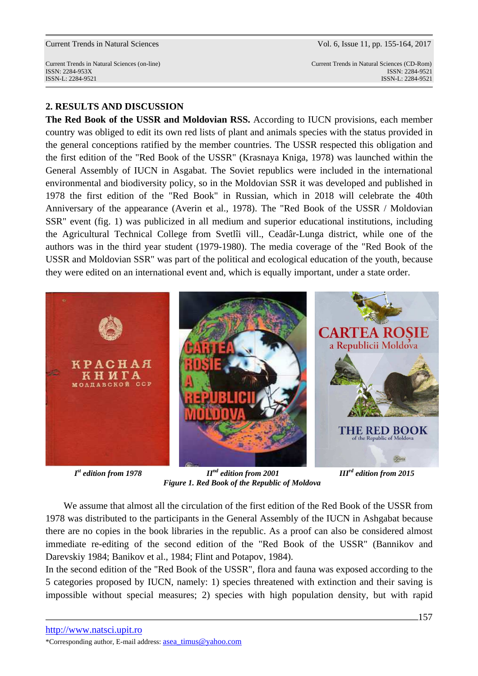Current Trends in Natural Sciences (on-line) Current Trends in Natural Sciences (CD-Rom) ISSN: 2284-953XISSN: 2284-9521 ISSN-L: 2284-9521 ISSN-L: 2284-9521

## **2. RESULTS AND DISCUSSION**

**The Red Book of the USSR and Moldovian RSS.** According to IUCN provisions, each member country was obliged to edit its own red lists of plant and animals species with the status provided in the general conceptions ratified by the member countries. The USSR respected this obligation and the first edition of the "Red Book of the USSR" (Krasnaya Kniga, 1978) was launched within the General Assembly of IUCN in Asgabat. The Soviet republics were included in the international environmental and biodiversity policy, so in the Moldovian SSR it was developed and published in 1978 the first edition of the "Red Book" in Russian, which in 2018 will celebrate the 40th Anniversary of the appearance (Averin et al., 1978). The "Red Book of the USSR / Moldovian SSR" event (fig. 1) was publicized in all medium and superior educational institutions, including the Agricultural Technical College from Svetlîi vill., Ceadâr-Lunga district, while one of the authors was in the third year student (1979-1980). The media coverage of the "Red Book of the USSR and Moldovian SSR" was part of the political and ecological education of the youth, because they were edited on an international event and, which is equally important, under a state order.



*st edition from 1978 IInd edition from 2001 IIIrd edition from 2015 Figure 1. Red Book of the Republic of Moldova* 

 We assume that almost all the circulation of the first edition of the Red Book of the USSR from 1978 was distributed to the participants in the General Assembly of the IUCN in Ashgabat because there are no copies in the book libraries in the republic. As a proof can also be considered almost immediate re-editing of the second edition of the "Red Book of the USSR" (Bannikov and Darevskiy 1984; Banikov et al., 1984; Flint and Potapov, 1984).

In the second edition of the "Red Book of the USSR", flora and fauna was exposed according to the 5 categories proposed by IUCN, namely: 1) species threatened with extinction and their saving is impossible without special measures; 2) species with high population density, but with rapid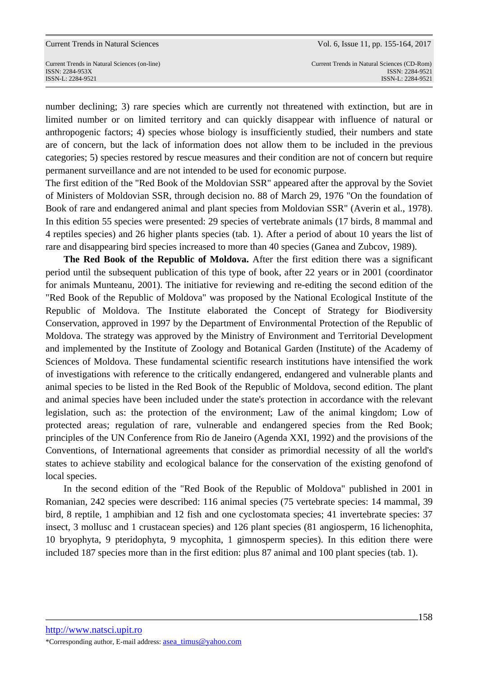number declining; 3) rare species which are currently not threatened with extinction, but are in limited number or on limited territory and can quickly disappear with influence of natural or anthropogenic factors; 4) species whose biology is insufficiently studied, their numbers and state are of concern, but the lack of information does not allow them to be included in the previous categories; 5) species restored by rescue measures and their condition are not of concern but require permanent surveillance and are not intended to be used for economic purpose.

The first edition of the "Red Book of the Moldovian SSR" appeared after the approval by the Soviet of Ministers of Moldovian SSR, through decision no. 88 of March 29, 1976 "On the foundation of Book of rare and endangered animal and plant species from Moldovian SSR" (Averin et al., 1978). In this edition 55 species were presented: 29 species of vertebrate animals (17 birds, 8 mammal and 4 reptiles species) and 26 higher plants species (tab. 1). After a period of about 10 years the list of rare and disappearing bird species increased to more than 40 species (Ganea and Zubcov, 1989).

**The Red Book of the Republic of Moldova.** After the first edition there was a significant period until the subsequent publication of this type of book, after 22 years or in 2001 (coordinator for animals Munteanu, 2001). The initiative for reviewing and re-editing the second edition of the "Red Book of the Republic of Moldova" was proposed by the National Ecological Institute of the Republic of Moldova. The Institute elaborated the Concept of Strategy for Biodiversity Conservation, approved in 1997 by the Department of Environmental Protection of the Republic of Moldova. The strategy was approved by the Ministry of Environment and Territorial Development and implemented by the Institute of Zoology and Botanical Garden (Institute) of the Academy of Sciences of Moldova. These fundamental scientific research institutions have intensified the work of investigations with reference to the critically endangered, endangered and vulnerable plants and animal species to be listed in the Red Book of the Republic of Moldova, second edition. The plant and animal species have been included under the state's protection in accordance with the relevant legislation, such as: the protection of the environment; Law of the animal kingdom; Low of protected areas; regulation of rare, vulnerable and endangered species from the Red Book; principles of the UN Conference from Rio de Janeiro (Agenda XXI, 1992) and the provisions of the Conventions, of International agreements that consider as primordial necessity of all the world's states to achieve stability and ecological balance for the conservation of the existing genofond of local species.

 In the second edition of the "Red Book of the Republic of Moldova" published in 2001 in Romanian, 242 species were described: 116 animal species (75 vertebrate species: 14 mammal, 39 bird, 8 reptile, 1 amphibian and 12 fish and one cyclostomata species; 41 invertebrate species: 37 insect, 3 mollusc and 1 crustacean species) and 126 plant species (81 angiosperm, 16 lichenophita, 10 bryophyta, 9 pteridophyta, 9 mycophita, 1 gimnosperm species). In this edition there were included 187 species more than in the first edition: plus 87 animal and 100 plant species (tab. 1).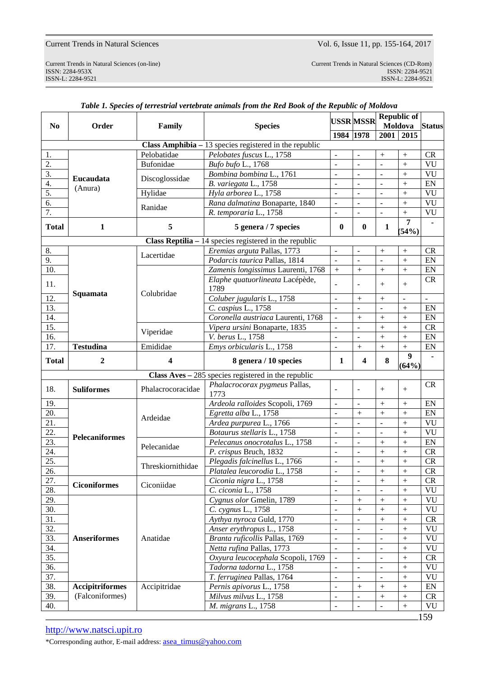Current Trends in Natural Sciences (on-line) Current Trends in Natural Sciences (CD-Rom) ISSN: 2284-953XISSN: 2284-9521 External Sciences (on-line)<br>
ISSN: 2284-9522<br>
ISSN-L: 2284-9521<br>
ISSN-L: 2284-9521<br>
ISSN-L: 2284-9521<br>
ISSN-L: 2284-9521

| N <sub>0</sub>   | Order                  | Family                           | <b>Species</b>                                                 |                          | <b>USSR MSSR</b>        | Moldova        | <b>Republic of</b> | <b>Status</b> |  |
|------------------|------------------------|----------------------------------|----------------------------------------------------------------|--------------------------|-------------------------|----------------|--------------------|---------------|--|
|                  |                        |                                  |                                                                | 1984 1978                |                         |                | 2001 2015          |               |  |
|                  |                        |                                  | Class Amphibia $-13$ species registered in the republic        |                          |                         |                |                    |               |  |
| 1.               | Eucaudata<br>(Anura)   | Pelobatidae                      | Pelobates fuscus L., 1758                                      | $\overline{\phantom{a}}$ |                         | $^{+}$         | $^{+}$             | <b>CR</b>     |  |
| $\overline{2}$ . |                        | <b>Bufonidae</b>                 | Bufo bufo L., 1768                                             | $\overline{a}$           | $\overline{a}$          | $\overline{a}$ | $\ddot{}$          | VU            |  |
| $\overline{3}$ . |                        | Discoglossidae                   | Bombina bombina L., 1761                                       | $\bar{a}$                | $\sim$                  | $\overline{a}$ | $+$                | VU            |  |
| 4.               |                        |                                  | B. variegata L., 1758                                          | $\overline{\phantom{a}}$ | $\blacksquare$          | $\blacksquare$ | $+$                | EN            |  |
| 5.               |                        | Hylidae                          | Hyla arborea L., 1758                                          | $\mathbb{L}$             | $\overline{a}$          | $\overline{a}$ | $+$                | VU            |  |
| 6.               |                        |                                  | Rana dalmatina Bonaparte, 1840                                 | $\blacksquare$           | $\blacksquare$          | $\blacksquare$ | $+$                | VU            |  |
| 7.               |                        | Ranidae                          | R. temporaria L., 1758                                         | $\overline{a}$           | $\overline{a}$          | $\overline{a}$ | $+$                | VU            |  |
| <b>Total</b>     | $\mathbf{1}$           | 5                                | 5 genera / 7 species                                           | $\mathbf{0}$             | $\bf{0}$                | 1              | 7<br>(54%)         |               |  |
|                  |                        |                                  | <b>Class Reptilia</b> $-14$ species registered in the republic |                          |                         |                |                    |               |  |
| 8.               |                        |                                  | Eremias arguta Pallas, 1773                                    | $\frac{1}{2}$            | ÷,                      | $^{+}$         | $+$                | <b>CR</b>     |  |
| 9.               |                        | Lacertidae<br>Colubridae         | Podarcis taurica Pallas, 1814                                  | $\overline{\phantom{a}}$ | $\sim$                  | $\overline{a}$ | $\ddot{}$          | EN            |  |
| 10.              |                        |                                  | Zamenis longissimus Laurenti, 1768                             | $^{+}$                   | $^{+}$                  | $^{+}$         | $+$                | EN            |  |
| 11.              |                        |                                  | Elaphe quatuorlineata Lacépède,                                |                          |                         | $^{+}$         | $+$                | <b>CR</b>     |  |
|                  | Squamata               |                                  | 1789                                                           |                          |                         |                |                    |               |  |
| 12.              |                        |                                  | Coluber jugularis L., 1758                                     | $\overline{\phantom{a}}$ | $+$                     | $+$            | $\blacksquare$     |               |  |
| 13.              |                        |                                  | C. caspius L., 1758                                            | $\overline{a}$           |                         |                | $+$                | EN            |  |
| 14.              |                        |                                  | Coronella austriaca Laurenti, 1768                             | $\overline{a}$           | $+$                     | $+$            | $+$                | EN            |  |
| 15.              |                        | Viperidae                        | Vipera ursini Bonaparte, 1835                                  | $\overline{a}$           | ÷.                      | $^{+}$         | $+$                | <b>CR</b>     |  |
| 16.              |                        |                                  | V. berus L., 1758                                              | $\overline{a}$           | $\blacksquare$          | $+$            | $+$                | EN            |  |
| 17.              | <b>Testudina</b>       | Emididae                         | Emys orbicularis L., 1758                                      | $\overline{a}$           | $+$                     | $+$            | $+$                | EN            |  |
| <b>Total</b>     | $\boldsymbol{2}$       | 4                                | 8 genera / 10 species                                          | 1                        | $\overline{\mathbf{4}}$ | 8              | 9<br>(64%)         |               |  |
|                  |                        |                                  | Class $Aves - 285$ species registered in the republic          |                          |                         |                |                    |               |  |
| 18.              | <b>Suliformes</b>      | Phalacrocoracidae                | Phalacrocorax pygmeus Pallas,<br>1773                          |                          |                         | $^{+}$         |                    | CR            |  |
| 19.              |                        | Ardeidae                         | Ardeola ralloides Scopoli, 1769                                | $\overline{\phantom{a}}$ |                         | $^{+}$         | $^{+}$             | EN            |  |
| 20.              |                        |                                  | Egretta alba L., 1758                                          | $\frac{1}{2}$            | $^{+}$                  | $^{+}$         | $^{+}$             | EN            |  |
| 21.              |                        |                                  | Ardea purpurea L., 1766                                        | $\overline{\phantom{a}}$ | $\overline{a}$          | $\overline{a}$ | $^{+}$             | VU            |  |
| 22.              |                        |                                  | Botaurus stellaris L., 1758                                    | $\frac{1}{2}$            | ÷,                      | ÷,             | $^{+}$             | VU            |  |
| 23.              | <b>Pelecaniformes</b>  | Pelecanidae<br>Threskiornithidae | Pelecanus onocrotalus L., 1758                                 | $\overline{\phantom{a}}$ | $\overline{a}$          | $^{+}$         | $^{+}$             | EN            |  |
| 24.              |                        |                                  | P. crispus Bruch, 1832                                         | $\overline{\phantom{0}}$ |                         | $^{+}$         | $^{+}$             | <b>CR</b>     |  |
| 25.              |                        |                                  | Plegadis falcinellus L., 1766                                  | $\ddot{\phantom{a}}$     | $\overline{a}$          | $\ddot{}$      | $\ddot{}$          | <b>CR</b>     |  |
| 26.              |                        |                                  | Platalea leucorodia L., 1758                                   |                          |                         | $^{+}$         | $^{+}$             | CR            |  |
| 27.              | <b>Ciconiformes</b>    | Ciconiidae                       | Ciconia nigra L., 1758                                         |                          |                         | $^{+}$         | $+$                | <b>CR</b>     |  |
| 28.              |                        |                                  | C. ciconia L., 1758                                            |                          |                         |                | $^{+}$             | VU            |  |
| 29.              | <b>Anseriformes</b>    | Anatidae                         | Cygnus olor Gmelin, 1789                                       |                          | $\ddot{}$               | $^{+}$         | $^{+}$             | <b>VU</b>     |  |
| 30.              |                        |                                  | C. cygnus L., 1758                                             |                          | $\ddot{}$               | $\overline{+}$ | $^{+}$             | VU            |  |
| 31.              |                        |                                  | Aythya nyroca Guld, 1770                                       |                          |                         | $^{+}$         | $^{+}$             | CR            |  |
| 32.              |                        |                                  | Anser erythropus L., 1758                                      |                          |                         |                | $^{+}$             | <b>VU</b>     |  |
| 33.              |                        |                                  | Branta ruficollis Pallas, 1769                                 |                          |                         |                | $^{+}$             | <b>VU</b>     |  |
| 34.              |                        |                                  | Netta rufina Pallas, 1773                                      |                          |                         |                | $^{+}$             | VU            |  |
| 35.              |                        |                                  | Oxyura leucocephala Scopoli, 1769                              |                          |                         |                | $\ddot{}$          | CR            |  |
| 36.              |                        |                                  | Tadorna tadorna L., 1758                                       |                          |                         |                | $^{+}$             | <b>VU</b>     |  |
| 37.              |                        |                                  | T. ferruginea Pallas, 1764                                     |                          |                         |                | $^{+}$             | <b>VU</b>     |  |
| 38.              | <b>Accipitriformes</b> | Accipitridae                     | Pernis apivorus L., 1758                                       |                          | $\, +$                  | $^{+}$         | $^{+}$             | EN            |  |
| 39.              | (Falconiformes)        |                                  | Milvus milvus L., 1758                                         |                          | $\Box$                  | $\ddot{}$      | $+$                | CR            |  |
| 40.              |                        |                                  | M. migrans L., 1758                                            |                          |                         |                | $+$                | <b>VU</b>     |  |
| 159              |                        |                                  |                                                                |                          |                         |                |                    |               |  |

## *Table 1. Species of terrestrial vertebrate animals from the Red Book of the Republic of Moldova*

http://www.natsci.upit.ro

\*Corresponding author, E-mail address: asea\_timus@yahoo.com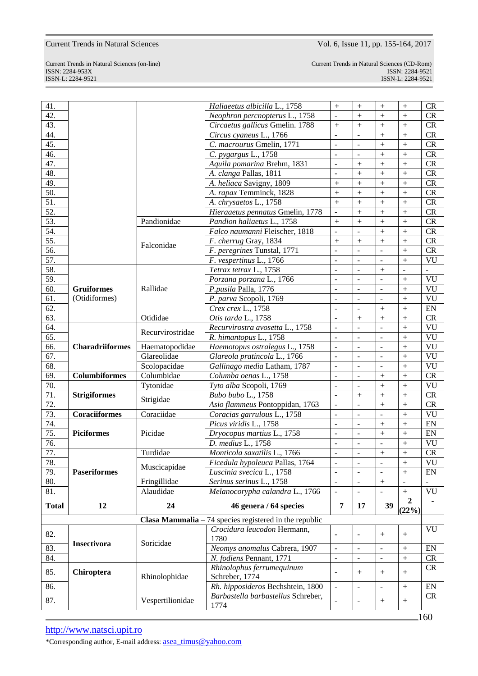ISSN-L: 2284-9521 ISSN-L: 2284-9521

Current Trends in Natural Sciences (on-line) Current Trends in Natural Sciences (CD-Rom) ISSN: 2284-953XISSN: 2284-9521

| 41.               |                        |                  | Haliaeetus albicilla L., 1758                           | $+$            | $^{+}$                   | $^{+}$                   | $^{+}$              | CR                         |
|-------------------|------------------------|------------------|---------------------------------------------------------|----------------|--------------------------|--------------------------|---------------------|----------------------------|
| 42.               |                        |                  | Neophron percnopterus L., 1758                          | $\frac{1}{2}$  | $^{+}$                   | $^{+}$                   | $\ddot{}$           | CR                         |
| 43.               |                        |                  | Circaetus gallicus Gmelin. 1788                         | $^{+}$         | $^{+}$                   | $^{+}$                   | $^{+}$              | CR                         |
| 44.               |                        |                  | Circus cyaneus L., 1766                                 | $\overline{a}$ | $\overline{a}$           | $^{+}$                   | $^{+}$              | CR                         |
| 45.               |                        |                  | C. macrourus Gmelin, 1771                               | $\frac{1}{2}$  | ÷,                       | $^{+}$                   | $^{+}$              | CR                         |
| 46.               |                        |                  | C. pygargus L., 1758                                    | ÷,             | ÷,                       | $^{+}$                   | $^{+}$              | CR                         |
| 47.               |                        |                  | Aquila pomarina Brehm, 1831                             | $\frac{1}{2}$  | $^{+}$                   | $^{+}$                   | $^{+}$              | CR                         |
| 48.               |                        |                  | A. clanga Pallas, 1811                                  | $\overline{a}$ | $^{+}$                   | $^{+}$                   | $^{+}$              | CR                         |
| 49.               |                        |                  | A. heliaca Savigny, 1809                                | $+$            | $\ddot{}$                | $^{+}$                   | $^{+}$              | CR                         |
| 50.               |                        |                  | A. rapax Temminck, 1828                                 | $^{+}$         | $^{+}$                   | $^{+}$                   | $^{+}$              | CR                         |
| $\overline{51}$   |                        |                  | A. chrysaetos L., 1758                                  | $^{+}$         | $^{+}$                   | $^{+}$                   | $^{+}$              | CR                         |
| 52.               |                        |                  | Hieraaetus pennatus Gmelin, 1778                        | $\frac{1}{2}$  | $\ddot{}$                | $^{+}$                   | $^{+}$              | CR                         |
| 53.               |                        | Pandionidae      | Pandion haliaetus L., 1758                              | $^{+}$         | $^{+}$                   | $^{+}$                   | $^{+}$              | CR                         |
| 54.               |                        |                  | Falco naumanni Fleischer, 1818                          | $\frac{1}{2}$  | ÷,                       | $^{+}$                   | $^{+}$              | CR                         |
| $\overline{55}$ . |                        |                  | F. cherrug Gray, 1834                                   | $^{+}$         | $\ddot{}$                | $^{+}$                   | $^{+}$              | ${\sf CR}$                 |
| 56.               |                        | Falconidae       | F. peregrines Tunstal, 1771                             | $\frac{1}{2}$  | ÷,                       | $\overline{\phantom{a}}$ | $^{+}$              | CR                         |
| 57.               |                        |                  | F. vespertinus L., 1766                                 | $\overline{a}$ | ÷,                       | $\overline{a}$           | $+$                 | VU                         |
| 58.               |                        |                  | Tetrax tetrax L., 1758                                  | $\frac{1}{2}$  | $\blacksquare$           | $^{+}$                   | $\bar{\phantom{a}}$ |                            |
| 59.               |                        |                  | Porzana porzana L., 1766                                | $\overline{a}$ | ÷,                       | $\frac{1}{2}$            | $^{+}$              | VU                         |
| 60.               | <b>Gruiformes</b>      | Rallidae         | P.pusila Palla, 1776                                    | $\overline{a}$ | $\overline{a}$           | $\frac{1}{2}$            | $^{+}$              | VU                         |
| 61.               | (Otidiformes)          |                  | P. parva Scopoli, 1769                                  | $\frac{1}{2}$  | $\overline{a}$           | $\frac{1}{2}$            | $^{+}$              | VU                         |
| 62.               |                        |                  | Crex crex L., 1758                                      | ÷,             | $\overline{a}$           | $^{+}$                   | $^{+}$              | $\mathop{\rm EN}\nolimits$ |
| 63.               |                        | Otididae         | Otis tarda L., 1758                                     | $\frac{1}{2}$  | $^{+}$                   | $^{+}$                   | $^{+}$              | CR                         |
| 64.               |                        |                  | Recurvirostra avosetta L., 1758                         | $\overline{a}$ | $\overline{a}$           | $\overline{a}$           | $^{+}$              | VU                         |
| 65.               |                        | Recurvirostridae | R. himantopus L., 1758                                  | $\frac{1}{2}$  | $\overline{\phantom{a}}$ | $\frac{1}{2}$            | $^{+}$              | VU                         |
| 66.               | <b>Charadriiformes</b> | Haematopodidae   | Haemotopus ostralegus L., 1758                          | $\overline{a}$ | ÷,                       | $\frac{1}{2}$            | $^{+}$              | VU                         |
| 67.               |                        | Glareolidae      | Glareola pratincola L., 1766                            | $\frac{1}{2}$  | ÷,                       | $\frac{1}{2}$            | $^{+}$              | VU                         |
| 68.               |                        | Scolopacidae     | Gallinago media Latham, 1787                            | $\frac{1}{2}$  | ÷,                       | $\frac{1}{2}$            | $^{+}$              | VU                         |
| 69.               | <b>Columbiformes</b>   | Columbidae       | Columba oenas L., 1758                                  | ÷,             | ÷,                       | $^{+}$                   | $^{+}$              | CR                         |
| 70.               |                        | Tytonidae        | Tyto alba Scopoli, 1769                                 | $\frac{1}{2}$  | $\overline{a}$           | $^{+}$                   | $^{+}$              | VU                         |
| 71.               | <b>Strigiformes</b>    |                  | Bubo bubo L., 1758                                      | $\overline{a}$ | $\ddot{}$                | $^{+}$                   | $^{+}$              | CR                         |
| $\overline{72}$ . |                        | Strigidae        | Asio flammeus Pontoppidan, 1763                         | $\frac{1}{2}$  | ÷,                       | $^{+}$                   | $^{+}$              | CR                         |
| 73.               | <b>Coraciiformes</b>   | Coraciidae       | Coracias garrulous L., 1758                             | $\overline{a}$ | ÷,                       | $\overline{a}$           | $^{+}$              | VU                         |
| 74.               |                        |                  | Picus viridis L., 1758                                  | $\frac{1}{2}$  | $\blacksquare$           | $^{+}$                   | $^{+}$              | $\mathop{\rm EN}\nolimits$ |
| 75.               | <b>Piciformes</b>      | Picidae          | Dryocopus martius L., 1758                              | $\overline{a}$ | ÷,                       | $^{+}$                   | $^{+}$              | EN                         |
| 76.               |                        |                  | D. medius L., 1758                                      | $\frac{1}{2}$  | ÷,                       | $\overline{\phantom{a}}$ | $^{+}$              | <b>VU</b>                  |
| 77.               |                        | Turdidae         | Monticola saxatilis L., 1766                            | ÷,             | $\overline{a}$           | $^{+}$                   | $^{+}$              | CR                         |
| 78.               |                        | Muscicapidae     | Ficedula hypoleuca Pallas, 1764                         | $\overline{a}$ | ÷,                       | $\blacksquare$           | $\boldsymbol{+}$    | VU                         |
| 79.               | <b>Paseriformes</b>    |                  | Luscinia svecica L., 1758                               | $\overline{a}$ | $\overline{a}$           |                          | $^{+}$              | $\mathbf{EN}$              |
| 80.               |                        | Fringillidae     | Serinus serinus L., 1758                                |                | ÷,                       | $^{+}$                   | $\overline{a}$      |                            |
| 81.               |                        | Alaudidae        | Melanocorypha calandra L., 1766                         | $\frac{1}{2}$  |                          |                          | $+$                 | VU                         |
| <b>Total</b>      | 12                     | 24               | 46 genera / 64 species                                  | $\overline{7}$ | 17                       | 39                       | $\overline{2}$      |                            |
|                   |                        |                  |                                                         |                |                          |                          | (22%)               |                            |
|                   |                        |                  | Clasa Mammalia $-74$ species registered in the republic |                |                          |                          |                     |                            |
| 82.               |                        |                  | Crocidura leucodon Hermann,                             | $\overline{a}$ | $\overline{\phantom{a}}$ | $^{+}$                   | $+$                 | VU                         |
|                   | Insectivora            | Soricidae        | 1780                                                    |                |                          |                          |                     |                            |
| 83.               |                        |                  | Neomys anomalus Cabrera, 1907                           | $\overline{a}$ | $\overline{a}$           | $\frac{1}{2}$            | $+$                 | EN                         |
| 84.               |                        |                  | N. fodiens Pennant, 1771                                | $\overline{a}$ | ÷,                       | $\frac{1}{2}$            | $\qquad \qquad +$   | CR                         |
| 85.               | Chiroptera             | Rhinolophidae    | Rhinolophus ferrumequinum<br>Schreber, 1774             | $\overline{a}$ | $^{+}$                   | $^{+}$                   | $+$                 | CR                         |
| 86.               |                        |                  | Rh. hipposideros Bechshtein, 1800                       | $\overline{a}$ | ÷,                       | $\equiv$                 | $+$                 | $\mathop{\rm EN}\nolimits$ |
|                   |                        |                  | Barbastella barbastellus Schreber,                      |                |                          |                          |                     | CR                         |
|                   |                        |                  |                                                         |                |                          |                          |                     |                            |
| 87.               |                        | Vespertilionidae | 1774                                                    |                |                          | $^{+}$                   | $^{+}$              |                            |

http://www.natsci.upit.ro

\*Corresponding author, E-mail address: asea\_timus@yahoo.com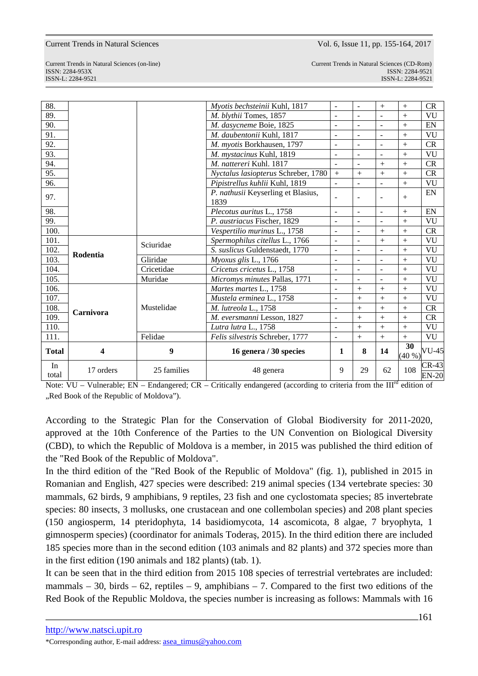| In<br>total  | 17 orders | 25 families | 48 genera                                  | 9                        | 29                       | 62             | 108 | $CR-43$<br>$EN-20$        |
|--------------|-----------|-------------|--------------------------------------------|--------------------------|--------------------------|----------------|-----|---------------------------|
| <b>Total</b> | 4         | 9           | 16 genera / 30 species                     | 1                        | 8                        | 14             | 30  | $(40\%)$ <sup>VU-45</sup> |
| 111.         | Carnivora | Felidae     | Felis silvestris Schreber, 1777            | $\overline{\phantom{a}}$ | $+$                      | $+$            | $+$ | VU                        |
| 110.         |           | Mustelidae  | Lutra lutra L., 1758                       | $\blacksquare$           | $+$                      | $^{+}$         | $+$ | VU                        |
| 109.         |           |             | M. eversmanni Lesson, 1827                 | $\overline{\phantom{a}}$ | $+$                      | $^{+}$         | $+$ | CR                        |
| 108.         |           |             | M. lutreola L., 1758                       | $\sim$                   | $+$                      | $+$            | $+$ | CR                        |
| 107.         |           |             | Mustela erminea L., 1758                   | $\sim$                   | $^{+}$                   | $^{+}$         | $+$ | VU                        |
| 106.         |           |             | Martes martes L., 1758                     | $\overline{a}$           | $+$                      | $^{+}$         | $+$ | VU                        |
| 105.         | Rodentia  | Muridae     | Micromys minutes Pallas, 1771              | $\blacksquare$           |                          |                | $+$ | VU                        |
| 104.         |           | Cricetidae  | Cricetus cricetus L., 1758                 | $\blacksquare$           | $\blacksquare$           | $\overline{a}$ | $+$ | VU                        |
| 103.         |           | Gliridae    | Myoxus glis L., 1766                       | $\overline{\phantom{a}}$ | $\overline{\phantom{a}}$ | $\overline{a}$ | $+$ | VU                        |
| 102.         |           | Sciuridae   | S. suslicus Guldenstaedt, 1770             | $\overline{\phantom{a}}$ | $\overline{a}$           |                | $+$ | VU                        |
| 101.         |           |             | Spermophilus citellus L., 1766             | $\sim$                   | $\overline{\phantom{a}}$ | $+$            | $+$ | VU                        |
| 100.         |           |             | Vespertilio murinus L., 1758               | $\sim$                   | $\blacksquare$           | $^{+}$         | $+$ | CR                        |
| 99.          |           |             | P. austriacus Fischer, 1829                | $\blacksquare$           |                          |                | $+$ | VU                        |
| 98.          |           |             | Plecotus auritus L., 1758                  | $\overline{\phantom{a}}$ | $\overline{\phantom{a}}$ | $\sim$         | $+$ | EN                        |
| 97.          |           |             | P. nathusii Keyserling et Blasius,<br>1839 | $\blacksquare$           |                          | $\blacksquare$ | $+$ | EN                        |
| 96.          |           |             | Pipistrellus kuhlii Kuhl, 1819             | $\blacksquare$           |                          |                | $+$ | VU                        |
| 95.          |           |             | Nyctalus lasiopterus Schreber, 1780        | $\! +$                   | $+$                      | $^{+}$         | $+$ | CR                        |
| 94.          |           |             | M. nattereri Kuhl. 1817                    | $\blacksquare$           | $\blacksquare$           | $+$            | $+$ | <b>CR</b>                 |
| 93.          |           |             | M. mystacinus Kuhl, 1819                   | $\blacksquare$           | $\overline{\phantom{a}}$ |                | $+$ | VU                        |
| 92.          |           |             | M. myotis Borkhausen, 1797                 | $\sim$                   | $\overline{a}$           | $\sim$         | $+$ | CR                        |
| 91.          |           |             | M. daubentonii Kuhl, 1817                  | $\blacksquare$           |                          | $\overline{a}$ | $+$ | VU                        |
| 90.          |           |             | M. dasycneme Boie, 1825                    | $\sim$                   |                          |                | $+$ | EN                        |
| 89.          |           |             | M. blythii Tomes, 1857                     | $\blacksquare$           |                          |                | $+$ | VU                        |
| 88.          |           |             | Myotis bechsteinii Kuhl, 1817              | $\overline{\phantom{a}}$ | $\overline{a}$           | $+$            | $+$ | CR                        |

Note:  $VU - V$ ulnerable; EN – Endangered; CR – Critically endangered (according to criteria from the III<sup>rd</sup> edition of "Red Book of the Republic of Moldova").

According to the Strategic Plan for the Conservation of Global Biodiversity for 2011-2020, approved at the 10th Conference of the Parties to the UN Convention on Biological Diversity (CBD), to which the Republic of Moldova is a member, in 2015 was published the third edition of the "Red Book of the Republic of Moldova".

In the third edition of the "Red Book of the Republic of Moldova" (fig. 1), published in 2015 in Romanian and English, 427 species were described: 219 animal species (134 vertebrate species: 30 mammals, 62 birds, 9 amphibians, 9 reptiles, 23 fish and one cyclostomata species; 85 invertebrate species: 80 insects, 3 mollusks, one crustacean and one collembolan species) and 208 plant species (150 angiosperm, 14 pteridophyta, 14 basidiomycota, 14 ascomicota, 8 algae, 7 bryophyta, 1 gimnosperm species) (coordinator for animals Toderaş, 2015). In the third edition there are included 185 species more than in the second edition (103 animals and 82 plants) and 372 species more than in the first edition (190 animals and 182 plants) (tab. 1).

It can be seen that in the third edition from 2015 108 species of terrestrial vertebrates are included: mammals – 30, birds – 62, reptiles – 9, amphibians – 7. Compared to the first two editions of the Red Book of the Republic Moldova, the species number is increasing as follows: Mammals with 16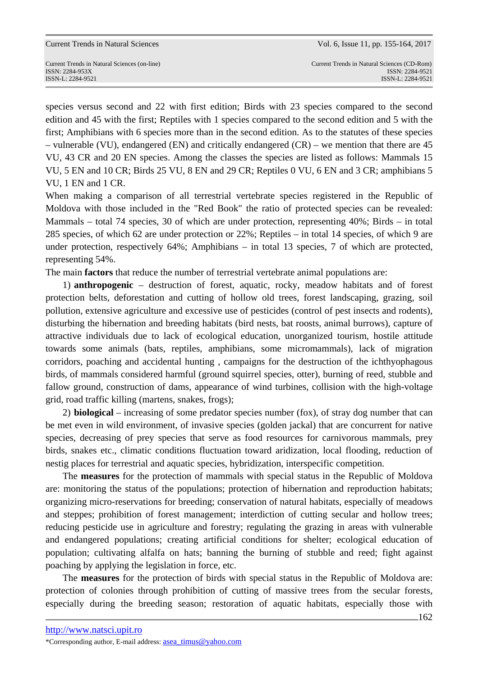Current Trends in Natural Sciences (on-line) Current Trends in Natural Sciences (CD-Rom)

species versus second and 22 with first edition; Birds with 23 species compared to the second edition and 45 with the first; Reptiles with 1 species compared to the second edition and 5 with the first; Amphibians with 6 species more than in the second edition. As to the statutes of these species – vulnerable (VU), endangered (EN) and critically endangered (CR) – we mention that there are 45 VU, 43 CR and 20 EN species. Among the classes the species are listed as follows: Mammals 15 VU, 5 EN and 10 CR; Birds 25 VU, 8 EN and 29 CR; Reptiles 0 VU, 6 EN and 3 CR; amphibians 5 VU, 1 EN and 1 CR.

When making a comparison of all terrestrial vertebrate species registered in the Republic of Moldova with those included in the "Red Book" the ratio of protected species can be revealed: Mammals – total 74 species, 30 of which are under protection, representing 40%; Birds – in total 285 species, of which 62 are under protection or 22%; Reptiles – in total 14 species, of which 9 are under protection, respectively 64%; Amphibians – in total 13 species, 7 of which are protected, representing 54%.

The main **factors** that reduce the number of terrestrial vertebrate animal populations are:

1) **anthropogenic** – destruction of forest, aquatic, rocky, meadow habitats and of forest protection belts, deforestation and cutting of hollow old trees, forest landscaping, grazing, soil pollution, extensive agriculture and excessive use of pesticides (control of pest insects and rodents), disturbing the hibernation and breeding habitats (bird nests, bat roosts, animal burrows), capture of attractive individuals due to lack of ecological education, unorganized tourism, hostile attitude towards some animals (bats, reptiles, amphibians, some micromammals), lack of migration corridors, poaching and accidental hunting , campaigns for the destruction of the ichthyophagous birds, of mammals considered harmful (ground squirrel species, otter), burning of reed, stubble and fallow ground, construction of dams, appearance of wind turbines, collision with the high-voltage grid, road traffic killing (martens, snakes, frogs);

2) **biological** – increasing of some predator species number (fox), of stray dog number that can be met even in wild environment, of invasive species (golden jackal) that are concurrent for native species, decreasing of prey species that serve as food resources for carnivorous mammals, prey birds, snakes etc., climatic conditions fluctuation toward aridization, local flooding, reduction of nestig places for terrestrial and aquatic species, hybridization, interspecific competition.

The **measures** for the protection of mammals with special status in the Republic of Moldova are: monitoring the status of the populations; protection of hibernation and reproduction habitats; organizing micro-reservations for breeding; conservation of natural habitats, especially of meadows and steppes; prohibition of forest management; interdiction of cutting secular and hollow trees; reducing pesticide use in agriculture and forestry; regulating the grazing in areas with vulnerable and endangered populations; creating artificial conditions for shelter; ecological education of population; cultivating alfalfa on hats; banning the burning of stubble and reed; fight against poaching by applying the legislation in force, etc.

The **measures** for the protection of birds with special status in the Republic of Moldova are: protection of colonies through prohibition of cutting of massive trees from the secular forests, especially during the breeding season; restoration of aquatic habitats, especially those with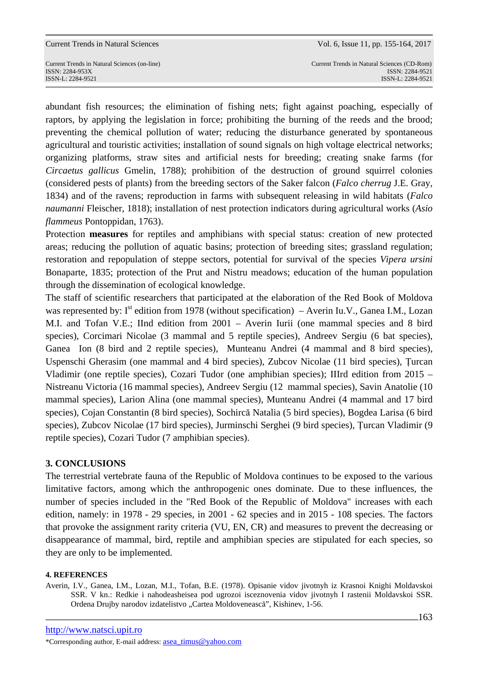Current Trends in Natural Sciences (on-line) Current Trends in Natural Sciences (CD-Rom)

abundant fish resources; the elimination of fishing nets; fight against poaching, especially of raptors, by applying the legislation in force; prohibiting the burning of the reeds and the brood; preventing the chemical pollution of water; reducing the disturbance generated by spontaneous agricultural and touristic activities; installation of sound signals on high voltage electrical networks; organizing platforms, straw sites and artificial nests for breeding; creating snake farms (for *Circaetus gallicus* Gmelin, 1788); prohibition of the destruction of ground squirrel colonies (considered pests of plants) from the breeding sectors of the Saker falcon (*Falco cherrug* J.E. Gray, 1834) and of the ravens; reproduction in farms with subsequent releasing in wild habitats (*Falco naumanni* Fleischer, 1818); installation of nest protection indicators during agricultural works (*Asio flammeus* Pontoppidan, 1763).

Protection **measures** for reptiles and amphibians with special status: creation of new protected areas; reducing the pollution of aquatic basins; protection of breeding sites; grassland regulation; restoration and repopulation of steppe sectors, potential for survival of the species *Vipera ursini* Bonaparte, 1835; protection of the Prut and Nistru meadows; education of the human population through the dissemination of ecological knowledge.

The staff of scientific researchers that participated at the elaboration of the Red Book of Moldova was represented by:  $I^{st}$  edition from 1978 (without specification) – Averin Iu.V., Ganea I.M., Lozan M.I. and Tofan V.E.; IInd edition from 2001 – Averin Iurii (one mammal species and 8 bird species), Corcimari Nicolae (3 mammal and 5 reptile species), Andreev Sergiu (6 bat species), Ganea Ion (8 bird and 2 reptile species), Munteanu Andrei (4 mammal and 8 bird species), Uspenschi Gherasim (one mammal and 4 bird species), Zubcov Nicolae (11 bird species), Ţurcan Vladimir (one reptile species), Cozari Tudor (one amphibian species); IIIrd edition from 2015 – Nistreanu Victoria (16 mammal species), Andreev Sergiu (12 mammal species), Savin Anatolie (10 mammal species), Larion Alina (one mammal species), Munteanu Andrei (4 mammal and 17 bird species), Cojan Constantin (8 bird species), Sochircă Natalia (5 bird species), Bogdea Larisa (6 bird species), Zubcov Nicolae (17 bird species), Jurminschi Serghei (9 bird species), Ţurcan Vladimir (9 reptile species), Cozari Tudor (7 amphibian species).

## **3. CONCLUSIONS**

The terrestrial vertebrate fauna of the Republic of Moldova continues to be exposed to the various limitative factors, among which the anthropogenic ones dominate. Due to these influences, the number of species included in the "Red Book of the Republic of Moldova" increases with each edition, namely: in 1978 - 29 species, in 2001 - 62 species and in 2015 - 108 species. The factors that provoke the assignment rarity criteria (VU, EN, CR) and measures to prevent the decreasing or disappearance of mammal, bird, reptile and amphibian species are stipulated for each species, so they are only to be implemented.

## **4. REFERENCES**

Averin, I.V., Ganea, I.M., Lozan, M.I., Tofan, B.E. (1978). Opisanie vidov jivotnyh iz Krasnoi Knighi Moldavskoi SSR. V kn.: Redkie i nahodeasheisea pod ugrozoi isceznovenia vidov jivotnyh I rastenii Moldavskoi SSR. Ordena Drujby narodov izdatelistvo "Cartea Moldovenească", Kishinev, 1-56.